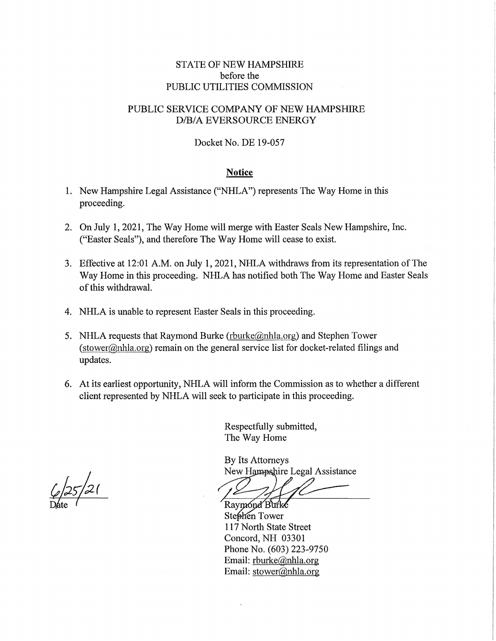## STATE OF NEW HAMPSHIRE before the PUBLIC UTILITIES COMMISSION

## PUBLIC SERVICE COMPANY OF NEW HAMPSHIRE D/B/A EVERSOURCE ENERGY

#### Docket No. DE 19-057

### **Notice**

- 1. New Hampshire Legal Assistance ("NHLA") represents The Way Home in this proceeding.
- 2. On July l, 2021, The Way Home will merge with Easter Seals New Hampshire, Inc. ("Easter Seals"), and therefore The Way Home will cease to exist.
- 3. Effective at 12:01 A.M. on July 1, 2021, NHLA withdraws from its representation of The Way Home in this proceeding. NHLA has notified both The Way Home and Easter Seals of this withdrawal.
- 4. NHLA is unable to represent Easter Seals in this proceeding.
- 5. NHLA requests that Raymond Burke  $(\text{rburke}(\omega)$ nhla.org) and Stephen Tower (stower@nhla.org) remain on the general service list for docket-related filings and updates.
- 6. At its earliest opportunity, NHLA will inform the Commission as to whether a different client represented by NHLA will seek to participate in this proceeding.

Respectfully submitted, The Way Home

By Its Attorneys New Hampshire Legal Assistance

Raymond Burke Stephen Tower 117 North State Street Concord, NH 03301 Phone No. (603) 223-9750 Email: rburke@nhla.org Email: stower@nhla.org

 $\frac{1}{2}\sqrt{25/21}$